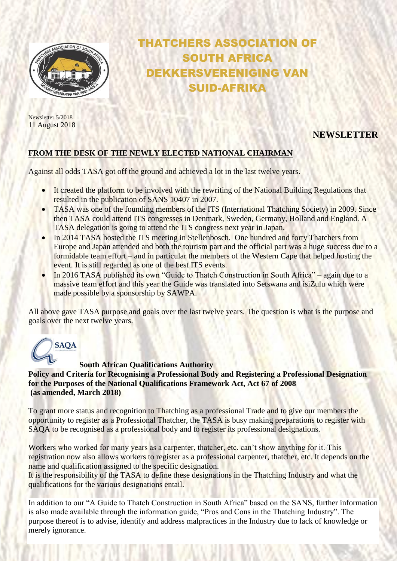

THATCHERS ASSOCIATION OF SOUTH AFRICA DEKKERSVERENIGING VAN SUID-AFRIKA

Newsletter 5/2018 11 August 2018

# **NEWSLETTER**

#### **FROM THE DESK OF THE NEWLY ELECTED NATIONAL CHAIRMAN**

Against all odds TASA got off the ground and achieved a lot in the last twelve years.

- It created the platform to be involved with the rewriting of the National Building Regulations that resulted in the publication of SANS 10407 in 2007.
- TASA was one of the founding members of the ITS (International Thatching Society) in 2009. Since then TASA could attend ITS congresses in Denmark, Sweden, Germany, Holland and England. A TASA delegation is going to attend the ITS congress next year in Japan.
- In 2014 TASA hosted the ITS meeting in Stellenbosch. One hundred and forty Thatchers from Europe and Japan attended and both the tourism part and the official part was a huge success due to a formidable team effort – and in particular the members of the Western Cape that helped hosting the event. It is still regarded as one of the best ITS events.
- In 2016 TASA published its own "Guide to Thatch Construction in South Africa" again due to a massive team effort and this year the Guide was translated into Setswana and isiZulu which were made possible by a sponsorship by SAWPA.

All above gave TASA purpose and goals over the last twelve years. The question is what is the purpose and goals over the next twelve years.



**South African Qualifications Authority Policy and Criteria for Recognising a Professional Body and Registering a Professional Designation for the Purposes of the National Qualifications Framework Act, Act 67 of 2008 (as amended, March 2018)**

To grant more status and recognition to Thatching as a professional Trade and to give our members the opportunity to register as a Professional Thatcher, the TASA is busy making preparations to register with SAQA to be recognised as a professional body and to register its professional designations.

Workers who worked for many years as a carpenter, thatcher, etc. can't show anything for it. This registration now also allows workers to register as a professional carpenter, thatcher, etc. It depends on the name and qualification assigned to the specific designation.

It is the responsibility of the TASA to define these designations in the Thatching Industry and what the qualifications for the various designations entail.

In addition to our "A Guide to Thatch Construction in South Africa" based on the SANS, further information is also made available through the information guide, "Pros and Cons in the Thatching Industry". The purpose thereof is to advise, identify and address malpractices in the Industry due to lack of knowledge or merely ignorance.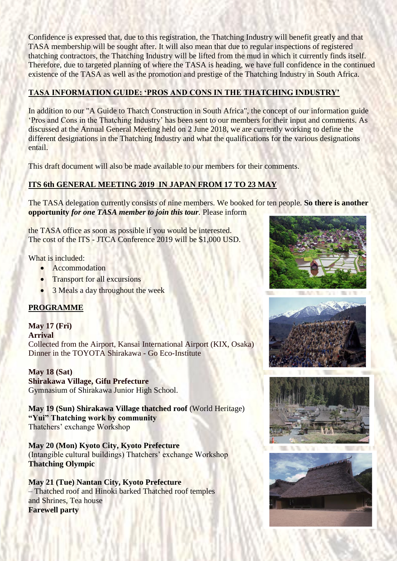Confidence is expressed that, due to this registration, the Thatching Industry will benefit greatly and that TASA membership will be sought after. It will also mean that due to regular inspections of registered thatching contractors, the Thatching Industry will be lifted from the mud in which it currently finds itself. Therefore, due to targeted planning of where the TASA is heading, we have full confidence in the continued existence of the TASA as well as the promotion and prestige of the Thatching Industry in South Africa.

### **TASA INFORMATION GUIDE: 'PROS AND CONS IN THE THATCHING INDUSTRY'**

In addition to our "A Guide to Thatch Construction in South Africa", the concept of our information guide 'Pros and Cons in the Thatching Industry' has been sent to our members for their input and comments. As discussed at the Annual General Meeting held on 2 June 2018, we are currently working to define the different designations in the Thatching Industry and what the qualifications for the various designations entail.

This draft document will also be made available to our members for their comments.

# **ITS 6th GENERAL MEETING 2019 IN JAPAN FROM 17 TO 23 MAY**

The TASA delegation currently consists of nine members. We booked for ten people. **So there is another opportunity** *for one TASA member to join this tour.* Please inform

the TASA office as soon as possible if you would be interested. The cost of the ITS - JTCA Conference 2019 will be \$1,000 USD.

What is included:

- Accommodation
- Transport for all excursions
- 3 Meals a day throughout the week

# **PROGRAMME**

**May 17 (Fri) Arrival** Collected from the Airport, Kansai International Airport (KIX, Osaka) Dinner in the TOYOTA Shirakawa - Go Eco-Institute

**May 18 (Sat) Shirakawa Village, Gifu Prefecture** Gymnasium of Shirakawa Junior High School.

**May 19 (Sun) Shirakawa Village thatched roof** (World Heritage) **"Yui" Thatching work by community** Thatchers' exchange Workshop

**May 20 (Mon) Kyoto City, Kyoto Prefecture** (Intangible cultural buildings) Thatchers' exchange Workshop **Thatching Olympic**

**May 21 (Tue) Nantan City, Kyoto Prefecture** – Thatched roof and Hinoki barked Thatched roof temples and Shrines, Tea house **Farewell party**